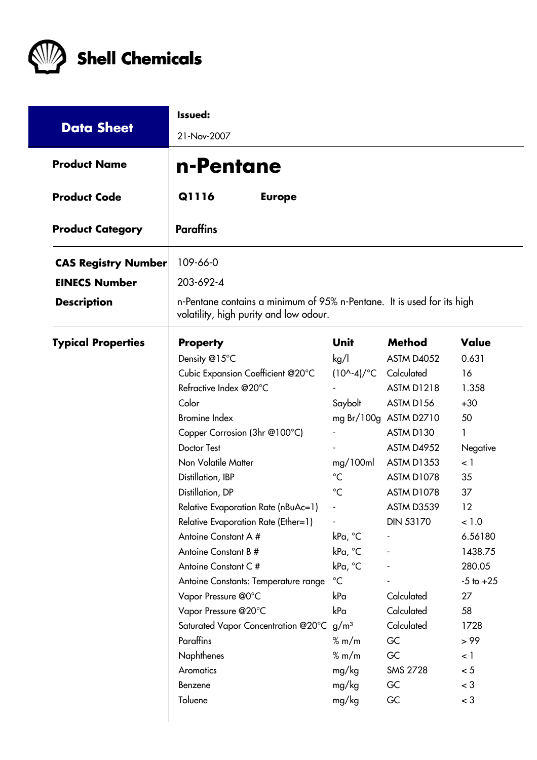

| <b>Data Sheet</b>          | Issued:<br>21-Nov-2007                                                                                           |                               |                       |               |  |  |  |
|----------------------------|------------------------------------------------------------------------------------------------------------------|-------------------------------|-----------------------|---------------|--|--|--|
| <b>Product Name</b>        | n-Pentane                                                                                                        |                               |                       |               |  |  |  |
| <b>Product Code</b>        | Q1116<br><b>Europe</b>                                                                                           |                               |                       |               |  |  |  |
| <b>Product Category</b>    | <b>Paraffins</b>                                                                                                 |                               |                       |               |  |  |  |
| <b>CAS Registry Number</b> | 109-66-0                                                                                                         |                               |                       |               |  |  |  |
| <b>EINECS Number</b>       | 203-692-4                                                                                                        |                               |                       |               |  |  |  |
| <b>Description</b>         | n-Pentane contains a minimum of 95% n-Pentane. It is used for its high<br>volatility, high purity and low odour. |                               |                       |               |  |  |  |
| <b>Typical Properties</b>  | <b>Property</b>                                                                                                  | <b>Unit</b>                   | <b>Method</b>         | Value         |  |  |  |
|                            | Density @15°C                                                                                                    | kg/l                          | <b>ASTM D4052</b>     | 0.631         |  |  |  |
|                            | Cubic Expansion Coefficient @20°C                                                                                | $(10^{\circ} - 4)/^{\circ}$ C | Calculated            | 16            |  |  |  |
|                            | Refractive Index @20°C                                                                                           |                               | <b>ASTM D1218</b>     | 1.358         |  |  |  |
|                            | Color                                                                                                            | Saybolt                       | ASTM D156             | $+30$         |  |  |  |
|                            | <b>Bromine Index</b>                                                                                             |                               | mg Br/100g ASTM D2710 | 50            |  |  |  |
|                            | Copper Corrosion (3hr @100°C)                                                                                    |                               | ASTM D130             |               |  |  |  |
|                            | <b>Doctor Test</b>                                                                                               |                               | ASTM D4952            | Negative      |  |  |  |
|                            | Non Volatile Matter                                                                                              | mg/100ml                      | <b>ASTM D1353</b>     | $\langle$ 1   |  |  |  |
|                            | Distillation, IBP                                                                                                | $^{\circ}C$                   | ASTM D1078            | 35            |  |  |  |
|                            | Distillation, DP                                                                                                 | $^{\circ}C$                   | ASTM D1078            | 37            |  |  |  |
|                            | Relative Evaporation Rate (nBuAc=1)                                                                              |                               | ASTM D3539            | 12            |  |  |  |
|                            | Relative Evaporation Rate (Ether=1)                                                                              |                               | <b>DIN 53170</b>      | < 1.0         |  |  |  |
|                            | Antoine Constant A #                                                                                             | kPa, °C                       |                       | 6.56180       |  |  |  |
|                            | Antoine Constant B #                                                                                             | kPa, °C                       |                       | 1438.75       |  |  |  |
|                            | Antoine Constant C#                                                                                              | kPa, °C                       |                       | 280.05        |  |  |  |
|                            | Antoine Constants: Temperature range                                                                             | $^{\circ}C$                   |                       | $-5$ to $+25$ |  |  |  |
|                            | Vapor Pressure @0°C                                                                                              | kPa                           | Calculated            | 27            |  |  |  |
|                            | Vapor Pressure @20°C                                                                                             | kPa                           | Calculated            | 58            |  |  |  |
|                            | Saturated Vapor Concentration @20°C g/m <sup>3</sup>                                                             |                               | Calculated            | 1728          |  |  |  |
|                            | Paraffins                                                                                                        | % m/m                         | GC                    | > 99          |  |  |  |
|                            | <b>Naphthenes</b>                                                                                                | % m/m                         | GC                    | $\lt$ 1       |  |  |  |
|                            | Aromatics                                                                                                        | mg/kg                         | <b>SMS 2728</b>       | < 5           |  |  |  |
|                            | Benzene                                                                                                          | mg/kg                         | GC                    | $<$ 3         |  |  |  |
|                            | Toluene                                                                                                          | mg/kg                         | GC                    | $<$ 3         |  |  |  |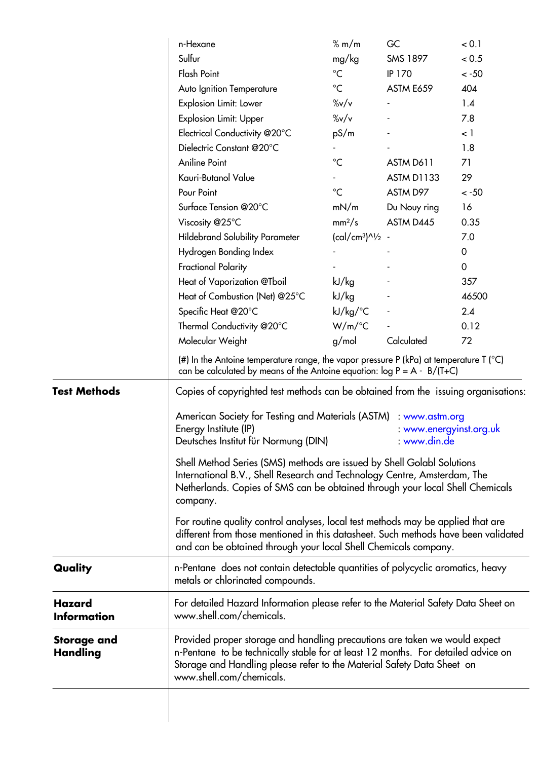|                                     | n-Hexane                                                                                                                                                                                                                                                                                                                                                                                                                                                                                                                                                                                                     | % m/m                  | GC                | < 0.1       |  |  |
|-------------------------------------|--------------------------------------------------------------------------------------------------------------------------------------------------------------------------------------------------------------------------------------------------------------------------------------------------------------------------------------------------------------------------------------------------------------------------------------------------------------------------------------------------------------------------------------------------------------------------------------------------------------|------------------------|-------------------|-------------|--|--|
|                                     | Sulfur                                                                                                                                                                                                                                                                                                                                                                                                                                                                                                                                                                                                       | mg/kg                  | <b>SMS 1897</b>   | < 0.5       |  |  |
|                                     | <b>Flash Point</b>                                                                                                                                                                                                                                                                                                                                                                                                                                                                                                                                                                                           | $^{\circ}C$            | <b>IP 170</b>     | $< -50$     |  |  |
|                                     | Auto Ignition Temperature                                                                                                                                                                                                                                                                                                                                                                                                                                                                                                                                                                                    | $^{\circ}C$            | ASTM E659         | 404         |  |  |
|                                     | Explosion Limit: Lower                                                                                                                                                                                                                                                                                                                                                                                                                                                                                                                                                                                       | $\frac{\%v}{v}$        |                   | 1.4         |  |  |
|                                     | <b>Explosion Limit: Upper</b>                                                                                                                                                                                                                                                                                                                                                                                                                                                                                                                                                                                | $\frac{\%v}{v}$        |                   | 7.8         |  |  |
|                                     | Electrical Conductivity @20°C                                                                                                                                                                                                                                                                                                                                                                                                                                                                                                                                                                                | pS/m                   |                   | $\leq$ 1    |  |  |
|                                     | Dielectric Constant @20°C                                                                                                                                                                                                                                                                                                                                                                                                                                                                                                                                                                                    |                        |                   | 1.8         |  |  |
|                                     | <b>Aniline Point</b>                                                                                                                                                                                                                                                                                                                                                                                                                                                                                                                                                                                         | $^{\circ}C$            | ASTM D611         | 71          |  |  |
|                                     | Kauri-Butanol Value                                                                                                                                                                                                                                                                                                                                                                                                                                                                                                                                                                                          |                        | <b>ASTM D1133</b> | 29          |  |  |
|                                     | Pour Point                                                                                                                                                                                                                                                                                                                                                                                                                                                                                                                                                                                                   | $^{\circ}C$            | ASTM D97          | $< -50$     |  |  |
|                                     | Surface Tension @20°C                                                                                                                                                                                                                                                                                                                                                                                                                                                                                                                                                                                        | mN/m                   | Du Nouy ring      | 16          |  |  |
|                                     | Viscosity @25°C                                                                                                                                                                                                                                                                                                                                                                                                                                                                                                                                                                                              | mm <sup>2</sup> /s     | ASTM D445         | 0.35        |  |  |
|                                     | <b>Hildebrand Solubility Parameter</b>                                                                                                                                                                                                                                                                                                                                                                                                                                                                                                                                                                       | $(cal/cm^{3})^{1/2}$ - |                   | 7.0         |  |  |
|                                     | Hydrogen Bonding Index                                                                                                                                                                                                                                                                                                                                                                                                                                                                                                                                                                                       |                        |                   | 0           |  |  |
|                                     | <b>Fractional Polarity</b>                                                                                                                                                                                                                                                                                                                                                                                                                                                                                                                                                                                   |                        |                   | $\mathbf 0$ |  |  |
|                                     | Heat of Vaporization @Tboil                                                                                                                                                                                                                                                                                                                                                                                                                                                                                                                                                                                  | kJ/kg                  |                   | 357         |  |  |
|                                     | Heat of Combustion (Net) @25°C                                                                                                                                                                                                                                                                                                                                                                                                                                                                                                                                                                               | kJ/kg                  |                   | 46500       |  |  |
|                                     | Specific Heat @20°C                                                                                                                                                                                                                                                                                                                                                                                                                                                                                                                                                                                          | $kJ/kg$ <sup>o</sup> C |                   | 2.4         |  |  |
|                                     | Thermal Conductivity @20°C                                                                                                                                                                                                                                                                                                                                                                                                                                                                                                                                                                                   | $W/m$ /°C              |                   | 0.12        |  |  |
|                                     | Molecular Weight                                                                                                                                                                                                                                                                                                                                                                                                                                                                                                                                                                                             | g/mol                  | Calculated        | 72          |  |  |
|                                     | (#) In the Antoine temperature range, the vapor pressure P (kPa) at temperature T ( $^{\circ}$ C)<br>can be calculated by means of the Antoine equation: $log P = A - B/(T+C)$                                                                                                                                                                                                                                                                                                                                                                                                                               |                        |                   |             |  |  |
| <b>Test Methods</b>                 | Copies of copyrighted test methods can be obtained from the issuing organisations:<br>American Society for Testing and Materials (ASTM)<br>: www.astm.org<br>Energy Institute (IP)<br>: www.energyinst.org.uk<br>Deutsches Institut für Normung (DIN)<br>: www.din.de<br>Shell Method Series (SMS) methods are issued by Shell Golabl Solutions<br>International B.V., Shell Research and Technology Centre, Amsterdam, The<br>Netherlands. Copies of SMS can be obtained through your local Shell Chemicals<br>company.<br>For routine quality control analyses, local test methods may be applied that are |                        |                   |             |  |  |
|                                     | different from those mentioned in this datasheet. Such methods have been validated<br>and can be obtained through your local Shell Chemicals company.                                                                                                                                                                                                                                                                                                                                                                                                                                                        |                        |                   |             |  |  |
| Quality                             | n-Pentane does not contain detectable quantities of polycyclic aromatics, heavy<br>metals or chlorinated compounds.                                                                                                                                                                                                                                                                                                                                                                                                                                                                                          |                        |                   |             |  |  |
| <b>Hazard</b><br><b>Information</b> | For detailed Hazard Information please refer to the Material Safety Data Sheet on<br>www.shell.com/chemicals.                                                                                                                                                                                                                                                                                                                                                                                                                                                                                                |                        |                   |             |  |  |
| <b>Storage and</b><br>Handling      | Provided proper storage and handling precautions are taken we would expect<br>n-Pentane to be technically stable for at least 12 months. For detailed advice on<br>Storage and Handling please refer to the Material Safety Data Sheet on<br>www.shell.com/chemicals.                                                                                                                                                                                                                                                                                                                                        |                        |                   |             |  |  |
|                                     |                                                                                                                                                                                                                                                                                                                                                                                                                                                                                                                                                                                                              |                        |                   |             |  |  |